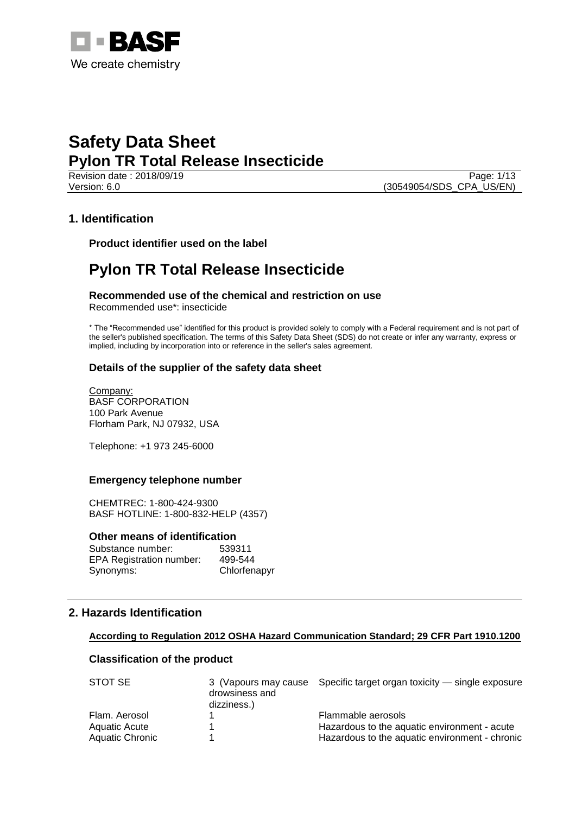

Revision date : 2018/09/19 Page: 1/13 Version: 6.0 (30549054/SDS\_CPA\_US/EN)

# **1. Identification**

**Product identifier used on the label**

# **Pylon TR Total Release Insecticide**

**Recommended use of the chemical and restriction on use** Recommended use\*: insecticide

\* The "Recommended use" identified for this product is provided solely to comply with a Federal requirement and is not part of the seller's published specification. The terms of this Safety Data Sheet (SDS) do not create or infer any warranty, express or implied, including by incorporation into or reference in the seller's sales agreement.

# **Details of the supplier of the safety data sheet**

Company: BASF CORPORATION 100 Park Avenue Florham Park, NJ 07932, USA

Telephone: +1 973 245-6000

### **Emergency telephone number**

CHEMTREC: 1-800-424-9300 BASF HOTLINE: 1-800-832-HELP (4357)

### **Other means of identification**

| Substance number:               | 539311       |
|---------------------------------|--------------|
| <b>EPA Registration number:</b> | 499-544      |
| Synonyms:                       | Chlorfenapyr |

# **2. Hazards Identification**

### **According to Regulation 2012 OSHA Hazard Communication Standard; 29 CFR Part 1910.1200**

### **Classification of the product**

| STOT SE         | drowsiness and<br>dizziness.) | 3 (Vapours may cause Specific target organ toxicity — single exposure |
|-----------------|-------------------------------|-----------------------------------------------------------------------|
| Flam, Aerosol   |                               | Flammable aerosols                                                    |
| Aquatic Acute   |                               | Hazardous to the aquatic environment - acute                          |
| Aquatic Chronic |                               | Hazardous to the aquatic environment - chronic                        |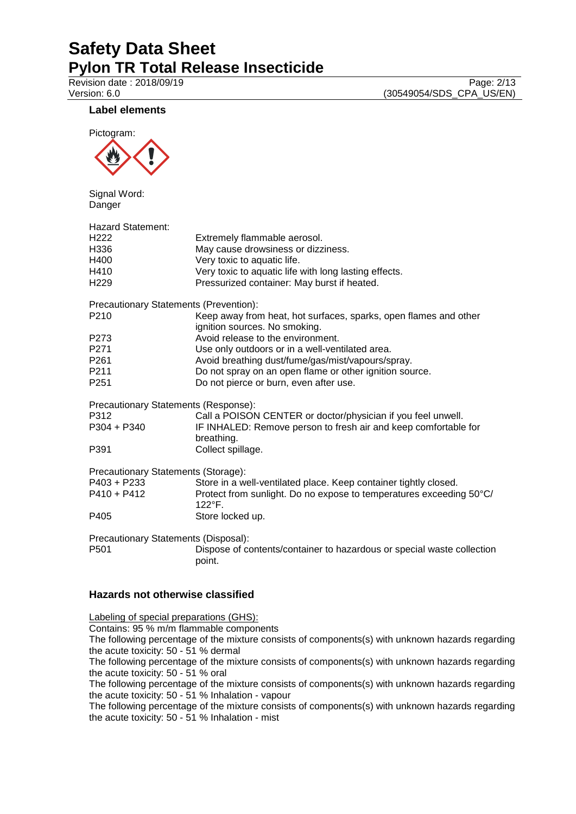Revision date : 2018/09/19<br>
Version: 6.0<br>
Version: 6.0<br>
(30549054/SDS\_CPA\_US/EN) (30549054/SDS\_CPA\_US/EN)

# **Label elements**



Signal Word: Danger

| <b>Hazard Statement:</b>               |                                                                                                   |
|----------------------------------------|---------------------------------------------------------------------------------------------------|
| H <sub>222</sub>                       | Extremely flammable aerosol.                                                                      |
| H336                                   | May cause drowsiness or dizziness.                                                                |
| H400                                   | Very toxic to aquatic life.                                                                       |
| H410                                   | Very toxic to aquatic life with long lasting effects.                                             |
| H <sub>229</sub>                       | Pressurized container: May burst if heated.                                                       |
| Precautionary Statements (Prevention): |                                                                                                   |
| P210                                   | Keep away from heat, hot surfaces, sparks, open flames and other<br>ignition sources. No smoking. |
| P273                                   | Avoid release to the environment.                                                                 |
| P271                                   | Use only outdoors or in a well-ventilated area.                                                   |
| P261                                   | Avoid breathing dust/fume/gas/mist/vapours/spray.                                                 |
| P211                                   | Do not spray on an open flame or other ignition source.                                           |
| P <sub>251</sub>                       | Do not pierce or burn, even after use.                                                            |
| Precautionary Statements (Response):   |                                                                                                   |
| P312                                   | Call a POISON CENTER or doctor/physician if you feel unwell.                                      |
| P304 + P340                            | IF INHALED: Remove person to fresh air and keep comfortable for<br>breathing.                     |
| P391                                   | Collect spillage.                                                                                 |
| Precautionary Statements (Storage):    |                                                                                                   |
| P403 + P233                            | Store in a well-ventilated place. Keep container tightly closed.                                  |
| P410 + P412                            | Protect from sunlight. Do no expose to temperatures exceeding 50°C/<br>$122^{\circ}$ F.           |
| P405                                   | Store locked up.                                                                                  |
| Precautionary Statements (Disposal):   |                                                                                                   |
| P <sub>501</sub>                       | Dispose of contents/container to hazardous or special waste collection<br>point.                  |

# **Hazards not otherwise classified**

Labeling of special preparations (GHS): Contains: 95 % m/m flammable components The following percentage of the mixture consists of components(s) with unknown hazards regarding the acute toxicity: 50 - 51 % dermal The following percentage of the mixture consists of components(s) with unknown hazards regarding the acute toxicity: 50 - 51 % oral The following percentage of the mixture consists of components(s) with unknown hazards regarding the acute toxicity: 50 - 51 % Inhalation - vapour The following percentage of the mixture consists of components(s) with unknown hazards regarding the acute toxicity: 50 - 51 % Inhalation - mist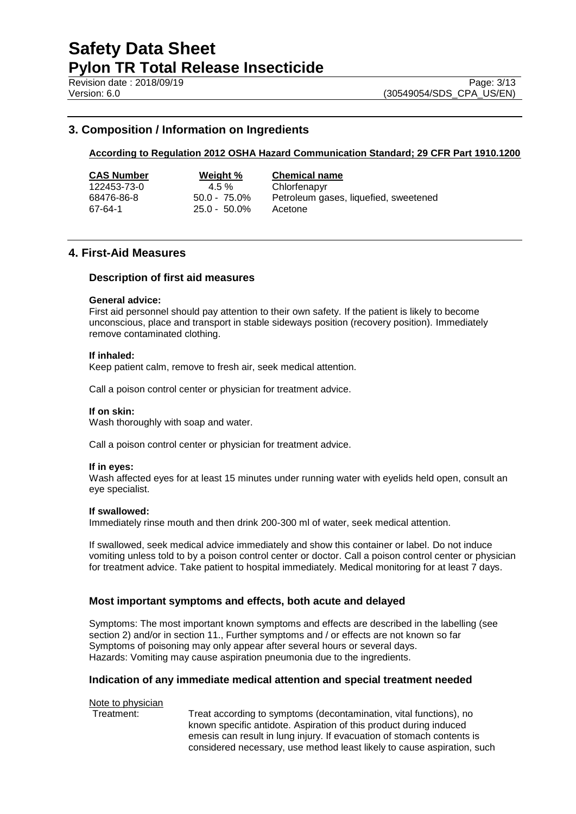Revision date : 2018/09/19 Page: 3/13

# **3. Composition / Information on Ingredients**

# **According to Regulation 2012 OSHA Hazard Communication Standard; 29 CFR Part 1910.1200**

|--|

67-64-1 25.0 - 50.0% Acetone

**CAS Number Weight % Chemical name**

4.5 % Chlorfenapyr

68476-86-8 50.0 - 75.0% Petroleum gases, liquefied, sweetened

# **4. First-Aid Measures**

### **Description of first aid measures**

#### **General advice:**

First aid personnel should pay attention to their own safety. If the patient is likely to become unconscious, place and transport in stable sideways position (recovery position). Immediately remove contaminated clothing.

### **If inhaled:**

Keep patient calm, remove to fresh air, seek medical attention.

Call a poison control center or physician for treatment advice.

### **If on skin:**

Wash thoroughly with soap and water.

Call a poison control center or physician for treatment advice.

### **If in eyes:**

Wash affected eyes for at least 15 minutes under running water with eyelids held open, consult an eye specialist.

### **If swallowed:**

Immediately rinse mouth and then drink 200-300 ml of water, seek medical attention.

If swallowed, seek medical advice immediately and show this container or label. Do not induce vomiting unless told to by a poison control center or doctor. Call a poison control center or physician for treatment advice. Take patient to hospital immediately. Medical monitoring for at least 7 days.

# **Most important symptoms and effects, both acute and delayed**

Symptoms: The most important known symptoms and effects are described in the labelling (see section 2) and/or in section 11., Further symptoms and / or effects are not known so far Symptoms of poisoning may only appear after several hours or several days. Hazards: Vomiting may cause aspiration pneumonia due to the ingredients.

### **Indication of any immediate medical attention and special treatment needed**

Note to physician

Treatment: Treat according to symptoms (decontamination, vital functions), no known specific antidote. Aspiration of this product during induced emesis can result in lung injury. If evacuation of stomach contents is considered necessary, use method least likely to cause aspiration, such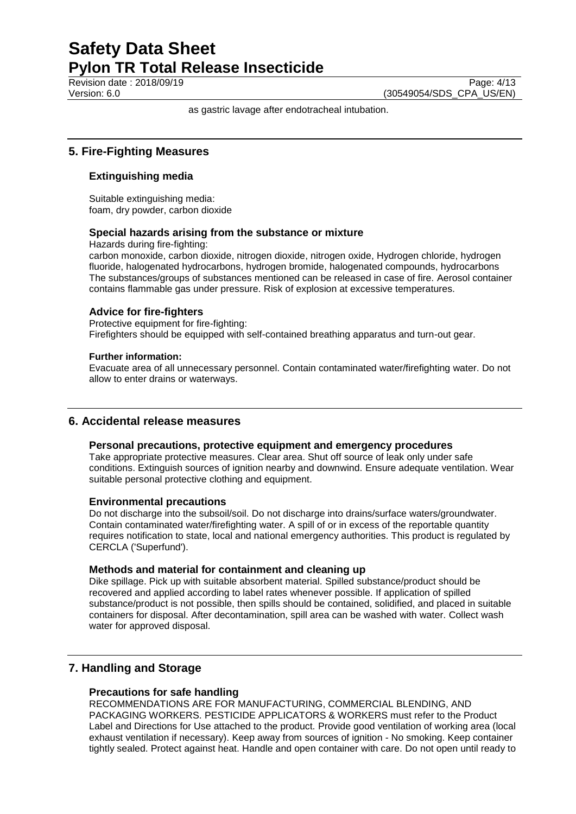Revision date : 2018/09/19 Page: 4/13

Version: 6.0 (30549054/SDS\_CPA\_US/EN)

as gastric lavage after endotracheal intubation.

# **5. Fire-Fighting Measures**

# **Extinguishing media**

Suitable extinguishing media: foam, dry powder, carbon dioxide

# **Special hazards arising from the substance or mixture**

Hazards during fire-fighting:

carbon monoxide, carbon dioxide, nitrogen dioxide, nitrogen oxide, Hydrogen chloride, hydrogen fluoride, halogenated hydrocarbons, hydrogen bromide, halogenated compounds, hydrocarbons The substances/groups of substances mentioned can be released in case of fire. Aerosol container contains flammable gas under pressure. Risk of explosion at excessive temperatures.

# **Advice for fire-fighters**

Protective equipment for fire-fighting: Firefighters should be equipped with self-contained breathing apparatus and turn-out gear.

### **Further information:**

Evacuate area of all unnecessary personnel. Contain contaminated water/firefighting water. Do not allow to enter drains or waterways.

# **6. Accidental release measures**

### **Personal precautions, protective equipment and emergency procedures**

Take appropriate protective measures. Clear area. Shut off source of leak only under safe conditions. Extinguish sources of ignition nearby and downwind. Ensure adequate ventilation. Wear suitable personal protective clothing and equipment.

### **Environmental precautions**

Do not discharge into the subsoil/soil. Do not discharge into drains/surface waters/groundwater. Contain contaminated water/firefighting water. A spill of or in excess of the reportable quantity requires notification to state, local and national emergency authorities. This product is regulated by CERCLA ('Superfund').

### **Methods and material for containment and cleaning up**

Dike spillage. Pick up with suitable absorbent material. Spilled substance/product should be recovered and applied according to label rates whenever possible. If application of spilled substance/product is not possible, then spills should be contained, solidified, and placed in suitable containers for disposal. After decontamination, spill area can be washed with water. Collect wash water for approved disposal.

# **7. Handling and Storage**

# **Precautions for safe handling**

RECOMMENDATIONS ARE FOR MANUFACTURING, COMMERCIAL BLENDING, AND PACKAGING WORKERS. PESTICIDE APPLICATORS & WORKERS must refer to the Product Label and Directions for Use attached to the product. Provide good ventilation of working area (local exhaust ventilation if necessary). Keep away from sources of ignition - No smoking. Keep container tightly sealed. Protect against heat. Handle and open container with care. Do not open until ready to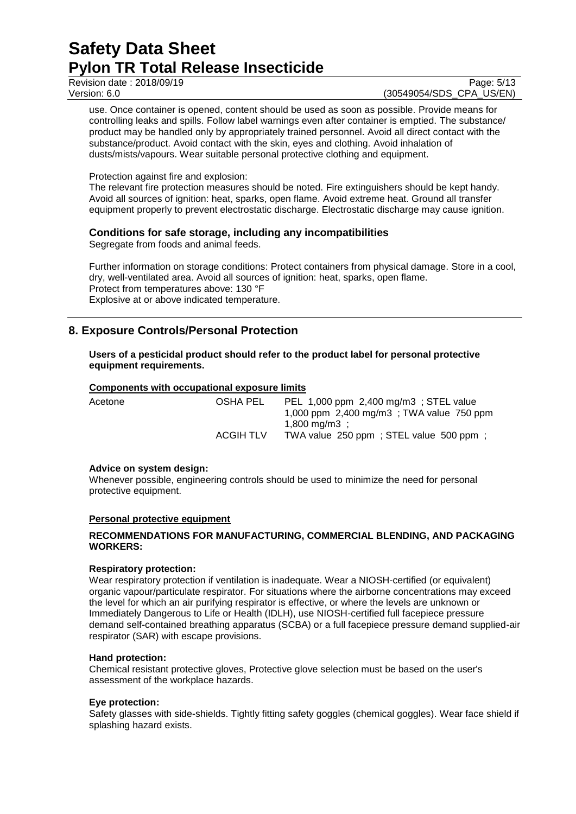Revision date : 2018/09/19 Page: 5/13

Version: 6.0 (30549054/SDS\_CPA\_US/EN)

use. Once container is opened, content should be used as soon as possible. Provide means for controlling leaks and spills. Follow label warnings even after container is emptied. The substance/ product may be handled only by appropriately trained personnel. Avoid all direct contact with the substance/product. Avoid contact with the skin, eyes and clothing. Avoid inhalation of dusts/mists/vapours. Wear suitable personal protective clothing and equipment.

Protection against fire and explosion:

The relevant fire protection measures should be noted. Fire extinguishers should be kept handy. Avoid all sources of ignition: heat, sparks, open flame. Avoid extreme heat. Ground all transfer equipment properly to prevent electrostatic discharge. Electrostatic discharge may cause ignition.

# **Conditions for safe storage, including any incompatibilities**

Segregate from foods and animal feeds.

Further information on storage conditions: Protect containers from physical damage. Store in a cool, dry, well-ventilated area. Avoid all sources of ignition: heat, sparks, open flame. Protect from temperatures above: 130 °F Explosive at or above indicated temperature.

# **8. Exposure Controls/Personal Protection**

### **Users of a pesticidal product should refer to the product label for personal protective equipment requirements.**

### **Components with occupational exposure limits**

| Acetone | OSHA PEL         | PEL 1,000 ppm 2,400 mg/m3; STEL value<br>1,000 ppm $2,400 \text{ mg/m}$ 3; TWA value 750 ppm |
|---------|------------------|----------------------------------------------------------------------------------------------|
|         |                  | $1.800 \text{ ma/m}3$ :                                                                      |
|         | <b>ACGIH TLV</b> | TWA value 250 ppm; STEL value 500 ppm;                                                       |

### **Advice on system design:**

Whenever possible, engineering controls should be used to minimize the need for personal protective equipment.

### **Personal protective equipment**

### **RECOMMENDATIONS FOR MANUFACTURING, COMMERCIAL BLENDING, AND PACKAGING WORKERS:**

### **Respiratory protection:**

Wear respiratory protection if ventilation is inadequate. Wear a NIOSH-certified (or equivalent) organic vapour/particulate respirator. For situations where the airborne concentrations may exceed the level for which an air purifying respirator is effective, or where the levels are unknown or Immediately Dangerous to Life or Health (IDLH), use NIOSH-certified full facepiece pressure demand self-contained breathing apparatus (SCBA) or a full facepiece pressure demand supplied-air respirator (SAR) with escape provisions.

### **Hand protection:**

Chemical resistant protective gloves, Protective glove selection must be based on the user's assessment of the workplace hazards.

### **Eye protection:**

Safety glasses with side-shields. Tightly fitting safety goggles (chemical goggles). Wear face shield if splashing hazard exists.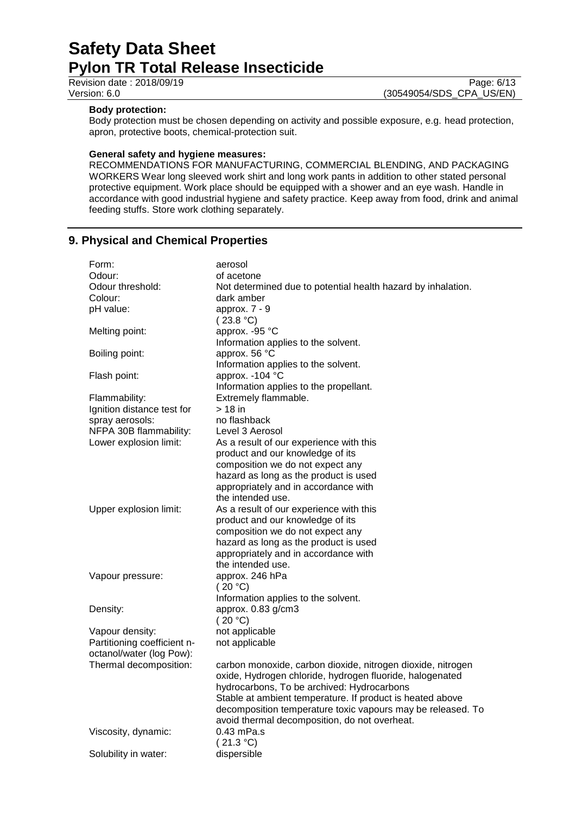### **Body protection:**

Body protection must be chosen depending on activity and possible exposure, e.g. head protection, apron, protective boots, chemical-protection suit.

### **General safety and hygiene measures:**

RECOMMENDATIONS FOR MANUFACTURING, COMMERCIAL BLENDING, AND PACKAGING WORKERS Wear long sleeved work shirt and long work pants in addition to other stated personal protective equipment. Work place should be equipped with a shower and an eye wash. Handle in accordance with good industrial hygiene and safety practice. Keep away from food, drink and animal feeding stuffs. Store work clothing separately.

# **9. Physical and Chemical Properties**

| Form:                       | aerosol                                                      |
|-----------------------------|--------------------------------------------------------------|
| Odour:                      | of acetone                                                   |
| Odour threshold:            | Not determined due to potential health hazard by inhalation. |
| Colour:                     | dark amber                                                   |
| pH value:                   | approx. 7 - 9                                                |
|                             | (23.8 °C)                                                    |
| Melting point:              | approx. -95 °C                                               |
|                             | Information applies to the solvent.                          |
| Boiling point:              | approx. 56 °C                                                |
|                             | Information applies to the solvent.                          |
| Flash point:                | approx. - 104 °C                                             |
|                             | Information applies to the propellant.                       |
| Flammability:               | Extremely flammable.                                         |
| Ignition distance test for  | $>18$ in                                                     |
| spray aerosols:             | no flashback                                                 |
| NFPA 30B flammability:      | Level 3 Aerosol                                              |
| Lower explosion limit:      | As a result of our experience with this                      |
|                             | product and our knowledge of its                             |
|                             | composition we do not expect any                             |
|                             | hazard as long as the product is used                        |
|                             | appropriately and in accordance with                         |
|                             | the intended use.                                            |
| Upper explosion limit:      | As a result of our experience with this                      |
|                             | product and our knowledge of its                             |
|                             | composition we do not expect any                             |
|                             | hazard as long as the product is used                        |
|                             | appropriately and in accordance with                         |
|                             | the intended use.                                            |
| Vapour pressure:            | approx. 246 hPa                                              |
|                             | (20 °C)                                                      |
|                             | Information applies to the solvent.                          |
| Density:                    | approx. 0.83 g/cm3                                           |
|                             | (20 °C)                                                      |
| Vapour density:             | not applicable                                               |
| Partitioning coefficient n- | not applicable                                               |
| octanol/water (log Pow):    |                                                              |
| Thermal decomposition:      | carbon monoxide, carbon dioxide, nitrogen dioxide, nitrogen  |
|                             | oxide, Hydrogen chloride, hydrogen fluoride, halogenated     |
|                             | hydrocarbons, To be archived: Hydrocarbons                   |
|                             | Stable at ambient temperature. If product is heated above    |
|                             | decomposition temperature toxic vapours may be released. To  |
|                             | avoid thermal decomposition, do not overheat.                |
| Viscosity, dynamic:         | 0.43 mPa.s                                                   |
|                             | (21.3 °C)                                                    |
| Solubility in water:        | dispersible                                                  |
|                             |                                                              |

Revision date : 2018/09/19<br>
Version: 6.0 (30549054/SDS\_CPA\_US/EN) (30549054/SDS\_CPA\_US/EN)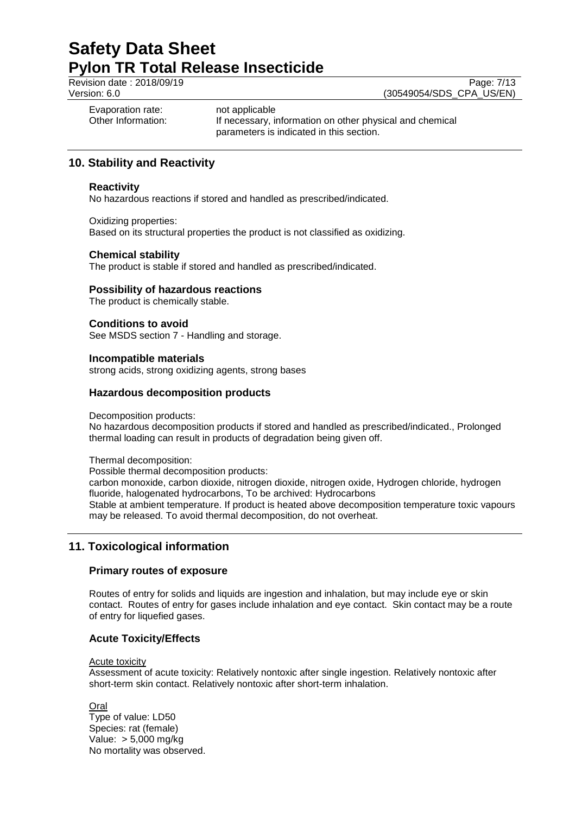Revision date : 2018/09/19<br>
Version: 6.0 (30549054/SDS\_CPA\_US/EN) (30549054/SDS\_CPA\_US/EN)

Evaporation rate: not applicable<br>Other Information: The Recessary, if

If necessary, information on other physical and chemical parameters is indicated in this section.

# **10. Stability and Reactivity**

# **Reactivity**

No hazardous reactions if stored and handled as prescribed/indicated.

Oxidizing properties:

Based on its structural properties the product is not classified as oxidizing.

# **Chemical stability**

The product is stable if stored and handled as prescribed/indicated.

# **Possibility of hazardous reactions**

The product is chemically stable.

# **Conditions to avoid**

See MSDS section 7 - Handling and storage.

### **Incompatible materials**

strong acids, strong oxidizing agents, strong bases

# **Hazardous decomposition products**

Decomposition products:

No hazardous decomposition products if stored and handled as prescribed/indicated., Prolonged thermal loading can result in products of degradation being given off.

Thermal decomposition:

Possible thermal decomposition products: carbon monoxide, carbon dioxide, nitrogen dioxide, nitrogen oxide, Hydrogen chloride, hydrogen fluoride, halogenated hydrocarbons, To be archived: Hydrocarbons Stable at ambient temperature. If product is heated above decomposition temperature toxic vapours may be released. To avoid thermal decomposition, do not overheat.

# **11. Toxicological information**

# **Primary routes of exposure**

Routes of entry for solids and liquids are ingestion and inhalation, but may include eye or skin contact. Routes of entry for gases include inhalation and eye contact. Skin contact may be a route of entry for liquefied gases.

# **Acute Toxicity/Effects**

# Acute toxicity

Assessment of acute toxicity: Relatively nontoxic after single ingestion. Relatively nontoxic after short-term skin contact. Relatively nontoxic after short-term inhalation.

**Oral** Type of value: LD50 Species: rat (female) Value: > 5,000 mg/kg No mortality was observed.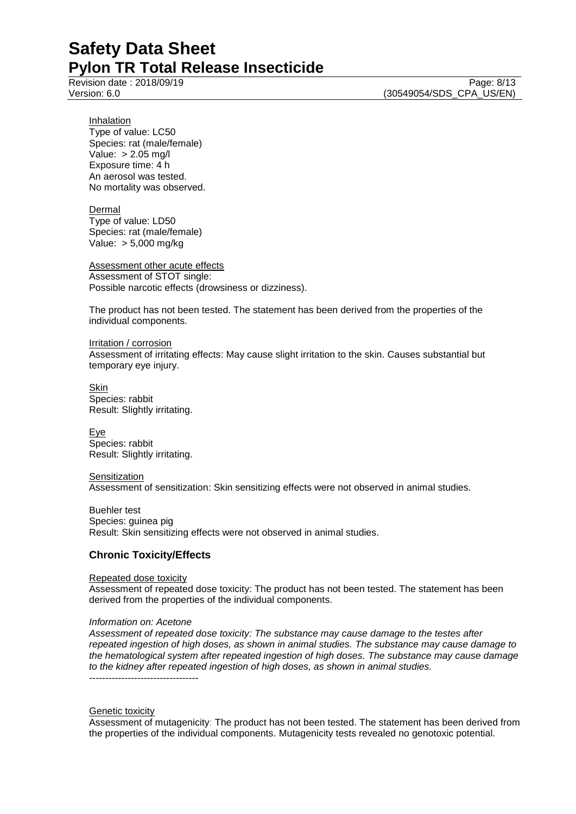Revision date : 2018/09/19 Page: 8/13

Version: 6.0 (30549054/SDS\_CPA\_US/EN)

Inhalation Type of value: LC50 Species: rat (male/female) Value: > 2.05 mg/l Exposure time: 4 h An aerosol was tested. No mortality was observed.

Dermal Type of value: LD50 Species: rat (male/female) Value: > 5,000 mg/kg

Assessment other acute effects Assessment of STOT single: Possible narcotic effects (drowsiness or dizziness).

The product has not been tested. The statement has been derived from the properties of the individual components.

Irritation / corrosion Assessment of irritating effects: May cause slight irritation to the skin. Causes substantial but temporary eye injury.

Skin Species: rabbit Result: Slightly irritating.

Eye Species: rabbit Result: Slightly irritating.

**Sensitization** Assessment of sensitization: Skin sensitizing effects were not observed in animal studies.

Buehler test Species: guinea pig Result: Skin sensitizing effects were not observed in animal studies.

# **Chronic Toxicity/Effects**

### Repeated dose toxicity

Assessment of repeated dose toxicity: The product has not been tested. The statement has been derived from the properties of the individual components.

### *Information on: Acetone*

*Assessment of repeated dose toxicity: The substance may cause damage to the testes after repeated ingestion of high doses, as shown in animal studies. The substance may cause damage to the hematological system after repeated ingestion of high doses. The substance may cause damage to the kidney after repeated ingestion of high doses, as shown in animal studies.* ----------------------------------

### Genetic toxicity

Assessment of mutagenicity: The product has not been tested. The statement has been derived from the properties of the individual components. Mutagenicity tests revealed no genotoxic potential.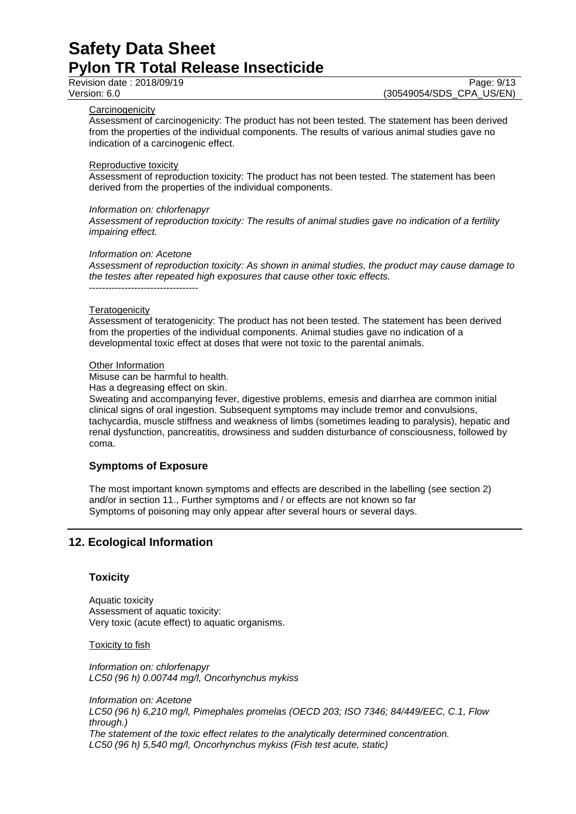Revision date : 2018/09/19 Page: 9/13

Version: 6.0 (30549054/SDS\_CPA\_US/EN)

#### **Carcinogenicity**

Assessment of carcinogenicity: The product has not been tested. The statement has been derived from the properties of the individual components. The results of various animal studies gave no indication of a carcinogenic effect.

#### Reproductive toxicity

Assessment of reproduction toxicity: The product has not been tested. The statement has been derived from the properties of the individual components.

#### *Information on: chlorfenapyr*

*Assessment of reproduction toxicity: The results of animal studies gave no indication of a fertility impairing effect.*

#### *Information on: Acetone*

----------------------------------

*Assessment of reproduction toxicity: As shown in animal studies, the product may cause damage to the testes after repeated high exposures that cause other toxic effects.*

#### **Teratogenicity**

Assessment of teratogenicity: The product has not been tested. The statement has been derived from the properties of the individual components. Animal studies gave no indication of a developmental toxic effect at doses that were not toxic to the parental animals.

#### Other Information

Misuse can be harmful to health.

Has a degreasing effect on skin.

Sweating and accompanying fever, digestive problems, emesis and diarrhea are common initial clinical signs of oral ingestion. Subsequent symptoms may include tremor and convulsions, tachycardia, muscle stiffness and weakness of limbs (sometimes leading to paralysis), hepatic and renal dysfunction, pancreatitis, drowsiness and sudden disturbance of consciousness, followed by coma.

### **Symptoms of Exposure**

The most important known symptoms and effects are described in the labelling (see section 2) and/or in section 11., Further symptoms and / or effects are not known so far Symptoms of poisoning may only appear after several hours or several days.

# **12. Ecological Information**

### **Toxicity**

Aquatic toxicity Assessment of aquatic toxicity: Very toxic (acute effect) to aquatic organisms.

Toxicity to fish

*Information on: chlorfenapyr LC50 (96 h) 0.00744 mg/l, Oncorhynchus mykiss*

*Information on: Acetone LC50 (96 h) 6,210 mg/l, Pimephales promelas (OECD 203; ISO 7346; 84/449/EEC, C.1, Flow through.) The statement of the toxic effect relates to the analytically determined concentration. LC50 (96 h) 5,540 mg/l, Oncorhynchus mykiss (Fish test acute, static)*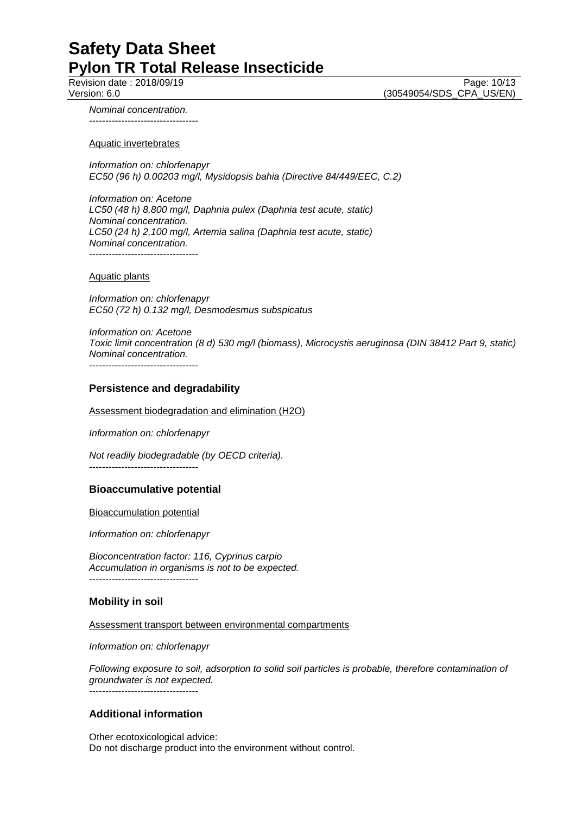Revision date : 2018/09/19 Page: 10/13 Version: 6.0 (30549054/SDS\_CPA\_US/EN)

*Nominal concentration.* ----------------------------------

Aquatic invertebrates

*Information on: chlorfenapyr EC50 (96 h) 0.00203 mg/l, Mysidopsis bahia (Directive 84/449/EEC, C.2)*

*Information on: Acetone LC50 (48 h) 8,800 mg/l, Daphnia pulex (Daphnia test acute, static) Nominal concentration. LC50 (24 h) 2,100 mg/l, Artemia salina (Daphnia test acute, static) Nominal concentration.* ----------------------------------

Aquatic plants

*Information on: chlorfenapyr EC50 (72 h) 0.132 mg/l, Desmodesmus subspicatus*

*Information on: Acetone Toxic limit concentration (8 d) 530 mg/l (biomass), Microcystis aeruginosa (DIN 38412 Part 9, static) Nominal concentration.* ----------------------------------

#### **Persistence and degradability**

Assessment biodegradation and elimination (H2O)

*Information on: chlorfenapyr*

*Not readily biodegradable (by OECD criteria).*

----------------------------------

#### **Bioaccumulative potential**

Bioaccumulation potential

*Information on: chlorfenapyr*

*Bioconcentration factor: 116, Cyprinus carpio Accumulation in organisms is not to be expected.* ----------------------------------

#### **Mobility in soil**

Assessment transport between environmental compartments

*Information on: chlorfenapyr*

*Following exposure to soil, adsorption to solid soil particles is probable, therefore contamination of groundwater is not expected.* ----------------------------------

### **Additional information**

Other ecotoxicological advice: Do not discharge product into the environment without control.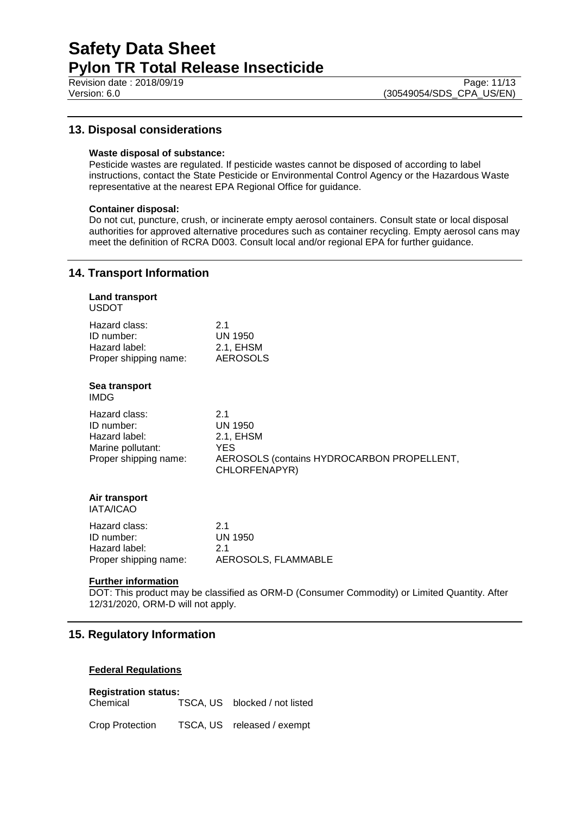Revision date : 2018/09/19 Page: 11/13

# **13. Disposal considerations**

### **Waste disposal of substance:**

Pesticide wastes are regulated. If pesticide wastes cannot be disposed of according to label instructions, contact the State Pesticide or Environmental Control Agency or the Hazardous Waste representative at the nearest EPA Regional Office for guidance.

#### **Container disposal:**

Do not cut, puncture, crush, or incinerate empty aerosol containers. Consult state or local disposal authorities for approved alternative procedures such as container recycling. Empty aerosol cans may meet the definition of RCRA D003. Consult local and/or regional EPA for further guidance.

# **14. Transport Information**

| <b>Land transport</b><br><b>USDOT</b>                                                      |                                                                                                           |
|--------------------------------------------------------------------------------------------|-----------------------------------------------------------------------------------------------------------|
| Hazard class:<br>ID number:<br>Hazard label:<br>Proper shipping name:                      | 2.1<br><b>UN 1950</b><br>2.1, EHSM<br><b>AEROSOLS</b>                                                     |
| Sea transport<br><b>IMDG</b>                                                               |                                                                                                           |
| Hazard class:<br>ID number:<br>Hazard label:<br>Marine pollutant:<br>Proper shipping name: | 2.1<br><b>UN 1950</b><br>2.1, EHSM<br>YES.<br>AEROSOLS (contains HYDROCARBON PROPELLENT,<br>CHLORFENAPYR) |
| Air transport<br><b>IATA/ICAO</b>                                                          |                                                                                                           |
| Hazard class:<br>ID number:<br>Hazard label:<br>Proper shipping name:                      | 2.1<br><b>UN 1950</b><br>2.1<br>AEROSOLS, FLAMMABLE                                                       |

#### **Further information**

DOT: This product may be classified as ORM-D (Consumer Commodity) or Limited Quantity. After 12/31/2020, ORM-D will not apply.

# **15. Regulatory Information**

### **Federal Regulations**

# **Registration status:**

Chemical TSCA, US blocked / not listed

Crop Protection TSCA, US released / exempt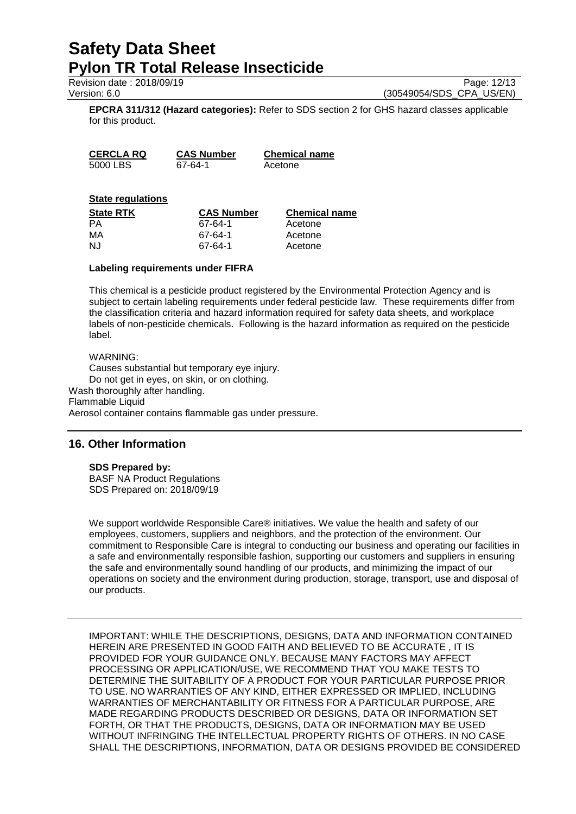Revision date : 2018/09/19 **Page: 12/13** Page: 12/13

Version: 6.0 (30549054/SDS\_CPA\_US/EN)

**EPCRA 311/312 (Hazard categories):** Refer to SDS section 2 for GHS hazard classes applicable for this product.

**CERCLA RQ CAS Number Chemical name** 5000 LBS 67-64-1 Acetone

## **State regulations**

| <b>State RTK</b> | <b>CAS Number</b> | <b>Chemical name</b> |
|------------------|-------------------|----------------------|
| <b>PA</b>        | 67-64-1           | Acetone              |
| MA               | 67-64-1           | Acetone              |
| NJ.              | 67-64-1           | Acetone              |

### **Labeling requirements under FIFRA**

This chemical is a pesticide product registered by the Environmental Protection Agency and is subject to certain labeling requirements under federal pesticide law. These requirements differ from the classification criteria and hazard information required for safety data sheets, and workplace labels of non-pesticide chemicals. Following is the hazard information as required on the pesticide label.

### WARNING:

Causes substantial but temporary eye injury. Do not get in eyes, on skin, or on clothing. Wash thoroughly after handling. Flammable Liquid Aerosol container contains flammable gas under pressure.

# **16. Other Information**

# **SDS Prepared by:**

BASF NA Product Regulations SDS Prepared on: 2018/09/19

We support worldwide Responsible Care® initiatives. We value the health and safety of our employees, customers, suppliers and neighbors, and the protection of the environment. Our commitment to Responsible Care is integral to conducting our business and operating our facilities in a safe and environmentally responsible fashion, supporting our customers and suppliers in ensuring the safe and environmentally sound handling of our products, and minimizing the impact of our operations on society and the environment during production, storage, transport, use and disposal of our products.

IMPORTANT: WHILE THE DESCRIPTIONS, DESIGNS, DATA AND INFORMATION CONTAINED HEREIN ARE PRESENTED IN GOOD FAITH AND BELIEVED TO BE ACCURATE , IT IS PROVIDED FOR YOUR GUIDANCE ONLY. BECAUSE MANY FACTORS MAY AFFECT PROCESSING OR APPLICATION/USE, WE RECOMMEND THAT YOU MAKE TESTS TO DETERMINE THE SUITABILITY OF A PRODUCT FOR YOUR PARTICULAR PURPOSE PRIOR TO USE. NO WARRANTIES OF ANY KIND, EITHER EXPRESSED OR IMPLIED, INCLUDING WARRANTIES OF MERCHANTABILITY OR FITNESS FOR A PARTICULAR PURPOSE, ARE MADE REGARDING PRODUCTS DESCRIBED OR DESIGNS, DATA OR INFORMATION SET FORTH, OR THAT THE PRODUCTS, DESIGNS, DATA OR INFORMATION MAY BE USED WITHOUT INFRINGING THE INTELLECTUAL PROPERTY RIGHTS OF OTHERS. IN NO CASE SHALL THE DESCRIPTIONS, INFORMATION, DATA OR DESIGNS PROVIDED BE CONSIDERED